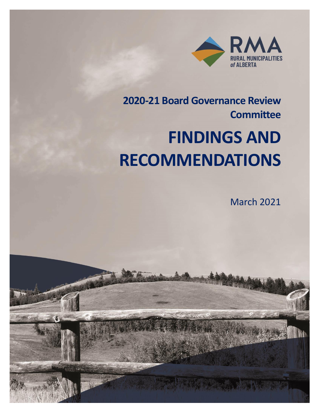

# **2020-21 Board Governance Review Committee FINDINGS AND RECOMMENDATIONS**

March 2021

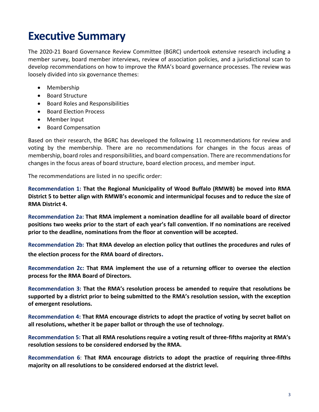# **Executive Summary**

The 2020-21 Board Governance Review Committee (BGRC) undertook extensive research including a member survey, board member interviews, review of association policies, and a jurisdictional scan to develop recommendations on how to improve the RMA's board governance processes. The review was loosely divided into six governance themes:

- Membership
- Board Structure
- Board Roles and Responsibilities
- Board Election Process
- Member Input
- Board Compensation

Based on their research, the BGRC has developed the following 11 recommendations for review and voting by the membership. There are no recommendations for changes in the focus areas of membership, board roles and responsibilities, and board compensation. There are recommendations for changes in the focus areas of board structure, board election process, and member input.

The recommendations are listed in no specific order:

**Recommendation 1: That the Regional Municipality of Wood Buffalo (RMWB) be moved into RMA District 5 to better align with RMWB's economic and intermunicipal focuses and to reduce the size of RMA District 4.**

**Recommendation 2a: That RMA implement a nomination deadline for all available board of director positions two weeks prior to the start of each year's fall convention. If no nominations are received prior to the deadline, nominations from the floor at convention will be accepted.**

**Recommendation 2b: That RMA develop an election policy that outlines the procedures and rules of the election process for the RMA board of directors.**

**Recommendation 2c: That RMA implement the use of a returning officer to oversee the election process for the RMA Board of Directors.**

**Recommendation 3: That the RMA's resolution process be amended to require that resolutions be supported by a district prior to being submitted to the RMA's resolution session, with the exception of emergent resolutions.**

**Recommendation 4: That RMA encourage districts to adopt the practice of voting by secret ballot on all resolutions, whether it be paper ballot or through the use of technology.**

**Recommendation 5: That all RMA resolutions require a voting result of three-fifths majority at RMA's resolution sessions to be considered endorsed by the RMA.**

**Recommendation 6**: **That RMA encourage districts to adopt the practice of requiring three-fifths majority on all resolutions to be considered endorsed at the district level.**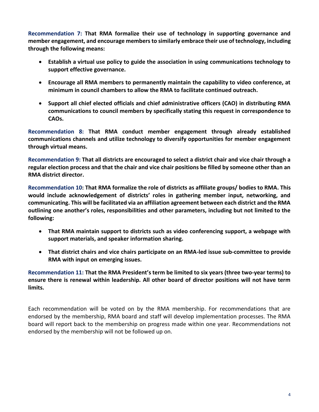**Recommendation 7: That RMA formalize their use of technology in supporting governance and member engagement, and encourage members to similarly embrace their use of technology, including through the following means:**

- **Establish a virtual use policy to guide the association in using communications technology to support effective governance.**
- **Encourage all RMA members to permanently maintain the capability to video conference, at minimum in council chambers to allow the RMA to facilitate continued outreach.**
- **Support all chief elected officials and chief administrative officers (CAO) in distributing RMA communications to council members by specifically stating this request in correspondence to CAOs.**

**Recommendation 8: That RMA conduct member engagement through already established communications channels and utilize technology to diversify opportunities for member engagement through virtual means.** 

**Recommendation 9: That all districts are encouraged to select a district chair and vice chair through a regular election process and that the chair and vice chair positions be filled by someone other than an RMA district director.**

**Recommendation 10: That RMA formalize the role of districts as affiliate groups/ bodies to RMA. This would include acknowledgement of districts' roles in gathering member input, networking, and communicating. This will be facilitated via an affiliation agreement between each district and the RMA outlining one another's roles, responsibilities and other parameters, including but not limited to the following:** 

- **That RMA maintain support to districts such as video conferencing support, a webpage with support materials, and speaker information sharing.**
- **That district chairs and vice chairs participate on an RMA-led issue sub-committee to provide RMA with input on emerging issues.**

**Recommendation 11: That the RMA President's term be limited to six years (three two-year terms) to ensure there is renewal within leadership. All other board of director positions will not have term limits.**

Each recommendation will be voted on by the RMA membership. For recommendations that are endorsed by the membership, RMA board and staff will develop implementation processes. The RMA board will report back to the membership on progress made within one year. Recommendations not endorsed by the membership will not be followed up on.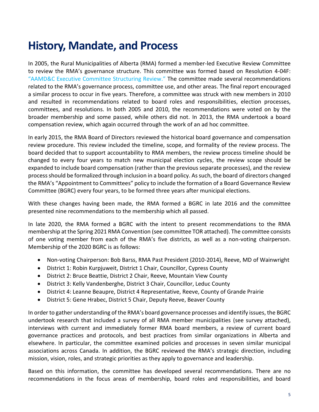# **History, Mandate, and Process**

In 2005, the Rural Municipalities of Alberta (RMA) formed a member-led Executive Review Committee to review the RMA's governance structure. This committee was formed based on Resolution 4-04F: ["AAMD&C Executive Committee](https://rmalberta.com/resolutions/4-04f-aamdc-executive-committee-structuring-review/) Structuring Review." The committee made several recommendations related to the RMA's governance process, committee use, and other areas. The final report encouraged a similar process to occur in five years. Therefore, a committee was struck with new members in 2010 and resulted in recommendations related to board roles and responsibilities, election processes, committees, and resolutions. In both 2005 and 2010, the recommendations were voted on by the broader membership and some passed, while others did not. In 2013, the RMA undertook a board compensation review, which again occurred through the work of an ad hoc committee.

In early 2015, the RMA Board of Directors reviewed the historical board governance and compensation review procedure. This review included the timeline, scope, and formality of the review process. The board decided that to support accountability to RMA members, the review process timeline should be changed to every four years to match new municipal election cycles, the review scope should be expanded to include board compensation (rather than the previous separate processes), and the review process should be formalized through inclusion in a board policy. As such, the board of directors changed the RMA's "Appointment to Committees" policy to include the formation of a Board Governance Review Committee (BGRC) every four years, to be formed three years after municipal elections.

With these changes having been made, the RMA formed a BGRC in late 2016 and the committee presented nine recommendations to the membership which all passed.

In late 2020, the RMA formed a BGRC with the intent to present recommendations to the RMA membership at the Spring 2021 RMA Convention (see committee TOR attached). The committee consists of one voting member from each of the RMA's five districts, as well as a non-voting chairperson. Membership of the 2020 BGRC is as follows:

- Non-voting Chairperson: Bob Barss, RMA Past President (2010-2014), Reeve, MD of Wainwright
- District 1: Robin Kurpjuweit, District 1 Chair, Councillor, Cypress County
- District 2: Bruce Beattie, District 2 Chair, Reeve, Mountain View County
- District 3: Kelly Vandenberghe, District 3 Chair, Councillor, Leduc County
- District 4: Leanne Beaupre, District 4 Representative, Reeve, County of Grande Prairie
- District 5: Gene Hrabec, District 5 Chair, Deputy Reeve, Beaver County

In order to gather understanding of the RMA's board governance processes and identify issues, the BGRC undertook research that included a survey of all RMA member municipalities (see survey attached), interviews with current and immediately former RMA board members, a review of current board governance practices and protocols, and best practices from similar organizations in Alberta and elsewhere. In particular, the committee examined policies and processes in seven similar municipal associations across Canada. In addition, the BGRC reviewed the RMA's strategic direction, including mission, vision, roles, and strategic priorities as they apply to governance and leadership.

Based on this information, the committee has developed several recommendations. There are no recommendations in the focus areas of membership, board roles and responsibilities, and board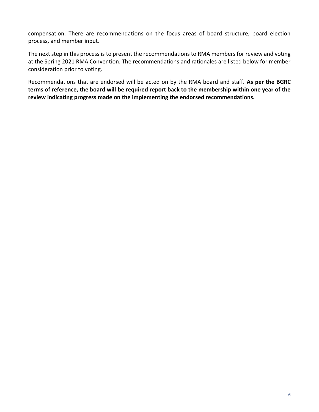compensation. There are recommendations on the focus areas of board structure, board election process, and member input.

The next step in this process is to present the recommendations to RMA members for review and voting at the Spring 2021 RMA Convention. The recommendations and rationales are listed below for member consideration prior to voting.

Recommendations that are endorsed will be acted on by the RMA board and staff. **As per the BGRC terms of reference, the board will be required report back to the membership within one year of the review indicating progress made on the implementing the endorsed recommendations.**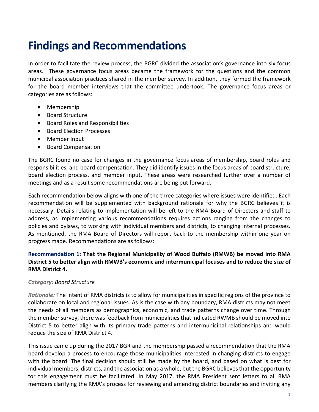# **Findings and Recommendations**

In order to facilitate the review process, the BGRC divided the association's governance into six focus areas. These governance focus areas became the framework for the questions and the common municipal association practices shared in the member survey. In addition, they formed the framework for the board member interviews that the committee undertook. The governance focus areas or categories are as follows:

- Membership
- Board Structure
- Board Roles and Responsibilities
- Board Election Processes
- Member Input
- Board Compensation

The BGRC found no case for changes in the governance focus areas of membership, board roles and responsibilities, and board compensation. They did identify issues in the focus areas of board structure, board election process, and member input. These areas were researched further over a number of meetings and as a result some recommendations are being put forward.

Each recommendation below aligns with one of the three categories where issues were identified. Each recommendation will be supplemented with background rationale for why the BGRC believes it is necessary. Details relating to implementation will be left to the RMA Board of Directors and staff to address, as implementing various recommendations requires actions ranging from the changes to policies and bylaws, to working with individual members and districts, to changing internal processes. As mentioned, the RMA Board of Directors will report back to the membership within one year on progress made. Recommendations are as follows:

# **Recommendation 1: That the Regional Municipality of Wood Buffalo (RMWB) be moved into RMA District 5 to better align with RMWB's economic and intermunicipal focuses and to reduce the size of RMA District 4.**

# *Category: Board Structure*

*Rationale:* The intent of RMA districts is to allow for municipalities in specific regions of the province to collaborate on local and regional issues. As is the case with any boundary, RMA districts may not meet the needs of all members as demographics, economic, and trade patterns change over time. Through the member survey, there was feedback from municipalities that indicated RWMB should be moved into District 5 to better align with its primary trade patterns and intermunicipal relationships and would reduce the size of RMA District 4.

This issue came up during the 2017 BGR and the membership passed a recommendation that the RMA board develop a process to encourage those municipalities interested in changing districts to engage with the board. The final decision should still be made by the board, and based on what is best for individual members, districts, and the association as a whole, but the BGRC believes that the opportunity for this engagement must be facilitated. In May 2017, the RMA President sent letters to all RMA members clarifying the RMA's process for reviewing and amending district boundaries and inviting any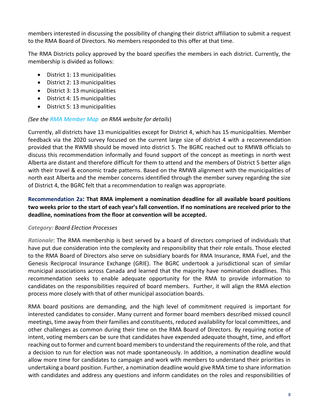members interested in discussing the possibility of changing their district affiliation to submit a request to the RMA Board of Directors. No members responded to this offer at that time.

The RMA Districts policy approved by the board specifies the members in each district. Currently, the membership is divided as follows:

- District 1: 13 municipalities
- District 2: 13 municipalities
- District 3: 13 municipalities
- District 4: 15 municipalities
- District 5: 13 municipalities

# *(See the [RMA Member Map](https://rmalberta.com/about/members-map/) on RMA website for details*)

Currently, all districts have 13 municipalities except for District 4, which has 15 municipalities. Member feedback via the 2020 survey focused on the current large size of district 4 with a recommendation provided that the RWMB should be moved into district 5. The BGRC reached out to RMWB officials to discuss this recommendation informally and found support of the concept as meetings in north west Alberta are distant and therefore difficult for them to attend and the members of District 5 better align with their travel & economic trade patterns. Based on the RMWB alignment with the municipalities of north east Alberta and the member concerns identified through the member survey regarding the size of District 4, the BGRC felt that a recommendation to realign was appropriate.

# **Recommendation 2a: That RMA implement a nomination deadline for all available board positions two weeks prior to the start of each year's fall convention. If no nominations are received prior to the deadline, nominations from the floor at convention will be accepted.**

# *Category: Board Election Processes*

*Rationale*: The RMA membership is best served by a board of directors comprised of individuals that have put due consideration into the complexity and responsibility that their role entails. Those elected to the RMA Board of Directors also serve on subsidiary boards for RMA Insurance, RMA Fuel, and the Genesis Reciprocal Insurance Exchange (GRIE). The BGRC undertook a jurisdictional scan of similar municipal associations across Canada and learned that the majority have nomination deadlines. This recommendation seeks to enable adequate opportunity for the RMA to provide information to candidates on the responsibilities required of board members. Further, it will align the RMA election process more closely with that of other municipal association boards.

RMA board positions are demanding, and the high level of commitment required is important for interested candidates to consider. Many current and former board members described missed council meetings, time away from their families and constituents, reduced availability for local committees, and other challenges as common during their time on the RMA Board of Directors. By requiring notice of intent, voting members can be sure that candidates have expended adequate thought, time, and effort reaching out to former and current board members to understand the requirements of the role, and that a decision to run for election was not made spontaneously. In addition, a nomination deadline would allow more time for candidates to campaign and work with members to understand their priorities in undertaking a board position. Further, a nomination deadline would give RMA time to share information with candidates and address any questions and inform candidates on the roles and responsibilities of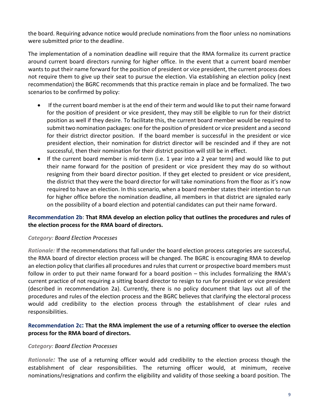the board. Requiring advance notice would preclude nominations from the floor unless no nominations were submitted prior to the deadline.

The implementation of a nomination deadline will require that the RMA formalize its current practice around current board directors running for higher office. In the event that a current board member wants to put their name forward for the position of president or vice president, the current process does not require them to give up their seat to pursue the election. Via establishing an election policy (next recommendation) the BGRC recommends that this practice remain in place and be formalized. The two scenarios to be confirmed by policy:

- If the current board member is at the end of their term and would like to put their name forward for the position of president or vice president, they may still be eligible to run for their district position as well if they desire. To facilitate this, the current board member would be required to submit two nomination packages: one for the position of president or vice president and a second for their district director position. If the board member is successful in the president or vice president election, their nomination for district director will be rescinded and if they are not successful, then their nomination for their district position will still be in effect.
- If the current board member is mid-term (i.e. 1 year into a 2 year term) and would like to put their name forward for the position of president or vice president they may do so without resigning from their board director position. If they get elected to president or vice president, the district that they were the board director for will take nominations from the floor as it's now required to have an election. In this scenario, when a board member states their intention to run for higher office before the nomination deadline, all members in that district are signaled early on the possibility of a board election and potential candidates can put their name forward.

# **Recommendation 2b**: **That RMA develop an election policy that outlines the procedures and rules of the election process for the RMA board of directors.**

# *Category: Board Election Processes*

*Rationale:* If the recommendations that fall under the board election process categories are successful, the RMA board of director election process will be changed. The BGRC is encouraging RMA to develop an election policy that clarifies all procedures and rules that current or prospective board members must follow in order to put their name forward for a board position – this includes formalizing the RMA's current practice of not requiring a sitting board director to resign to run for president or vice president (described in recommendation 2a). Currently, there is no policy document that lays out all of the procedures and rules of the election process and the BGRC believes that clarifying the electoral process would add credibility to the election process through the establishment of clear rules and responsibilities.

# **Recommendation 2c: That the RMA implement the use of a returning officer to oversee the election process for the RMA board of directors.**

#### *Category: Board Election Processes*

*Rationale:* The use of a returning officer would add credibility to the election process though the establishment of clear responsibilities. The returning officer would, at minimum, receive nominations/resignations and confirm the eligibility and validity of those seeking a board position. The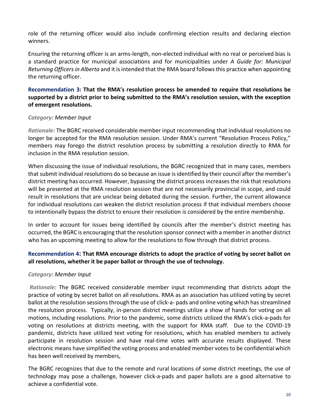role of the returning officer would also include confirming election results and declaring election winners.

Ensuring the returning officer is an arms-length, non-elected individual with no real or perceived bias is a standard practice for municipal associations and for municipalities under *A Guide for: Municipal Returning Officers in Alberta* and it is intended that the RMA board follows this practice when appointing the returning officer.

# **Recommendation 3: That the RMA's resolution process be amended to require that resolutions be supported by a district prior to being submitted to the RMA's resolution session, with the exception of emergent resolutions.**

# *Category: Member Input*

*Rationale:* The BGRC received considerable member input recommending that individual resolutions no longer be accepted for the RMA resolution session. Under RMA's current "Resolution Process Policy," members may forego the district resolution process by submitting a resolution directly to RMA for inclusion in the RMA resolution session.

When discussing the issue of individual resolutions, the BGRC recognized that in many cases, members that submit individual resolutions do so because an issue isidentified by their council after the member's district meeting has occurred. However, bypassing the district process increases the risk that resolutions will be presented at the RMA resolution session that are not necessarily provincial in scope, and could result in resolutions that are unclear being debated during the session. Further, the current allowance for individual resolutions can weaken the district resolution process if that individual members choose to intentionally bypass the district to ensure their resolution is considered by the entire membership.

In order to account for issues being identified by councils after the member's district meeting has occurred, the BGRC is encouraging that the resolution sponsor connect with a member in another district who has an upcoming meeting to allow for the resolutions to flow through that district process.

# **Recommendation 4: That RMA encourage districts to adopt the practice of voting by secret ballot on all resolutions, whether it be paper ballot or through the use of technology.**

# *Category: Member Input*

*Rationale:* The BGRC received considerable member input recommending that districts adopt the practice of voting by secret ballot on all resolutions. RMA as an association has utilized voting by secret ballot at the resolution sessions through the use of click-a- pads and online voting which has streamlined the resolution process. Typically, in-person district meetings utilize a show of hands for voting on all motions, including resolutions. Prior to the pandemic, some districts utilized the RMA's click-a-pads for voting on resolutions at districts meeting, with the support for RMA staff. Due to the COVID-19 pandemic, districts have utilized text voting for resolutions, which has enabled members to actively participate in resolution session and have real-time votes with accurate results displayed. These electronic means have simplified the voting process and enabled member votes to be confidential which has been well received by members,

The BGRC recognizes that due to the remote and rural locations of some district meetings, the use of technology may pose a challenge, however click-a-pads and paper ballots are a good alternative to achieve a confidential vote.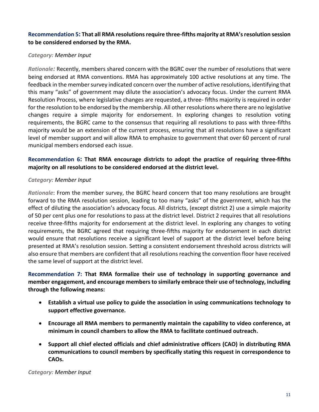# **Recommendation 5: That all RMA resolutions require three-fifths majority at RMA's resolution session to be considered endorsed by the RMA.**

# *Category: Member Input*

*Rationale:* Recently, members shared concern with the BGRC over the number of resolutions that were being endorsed at RMA conventions. RMA has approximately 100 active resolutions at any time. The feedback in the member survey indicated concern over the number of active resolutions, identifying that this many "asks" of government may dilute the association's advocacy focus. Under the current RMA Resolution Process, where legislative changes are requested, a three- fifths majority is required in order for the resolution to be endorsed by the membership. All other resolutions where there are no legislative changes require a simple majority for endorsement. In exploring changes to resolution voting requirements, the BGRC came to the consensus that requiring all resolutions to pass with three-fifths majority would be an extension of the current process, ensuring that all resolutions have a significant level of member support and will allow RMA to emphasize to government that over 60 percent of rural municipal members endorsed each issue.

# **Recommendation 6: That RMA encourage districts to adopt the practice of requiring three-fifths majority on all resolutions to be considered endorsed at the district level.**

# *Category: Member Input*

*Rationale*: From the member survey, the BGRC heard concern that too many resolutions are brought forward to the RMA resolution session, leading to too many "asks" of the government, which has the effect of diluting the association's advocacy focus. All districts, (except district 2) use a simple majority of 50 per cent plus one for resolutions to pass at the district level. District 2 requires that all resolutions receive three-fifths majority for endorsement at the district level. In exploring any changes to voting requirements, the BGRC agreed that requiring three-fifths majority for endorsement in each district would ensure that resolutions receive a significant level of support at the district level before being presented at RMA's resolution session. Setting a consistent endorsement threshold across districts will also ensure that members are confident that all resolutions reaching the convention floor have received the same level of support at the district level.

# **Recommendation 7: That RMA formalize their use of technology in supporting governance and member engagement, and encourage members to similarly embrace their use of technology, including through the following means:**

- **Establish a virtual use policy to guide the association in using communications technology to support effective governance.**
- **Encourage all RMA members to permanently maintain the capability to video conference, at minimum in council chambers to allow the RMA to facilitate continued outreach.**
- **Support all chief elected officials and chief administrative officers (CAO) in distributing RMA communications to council members by specifically stating this request in correspondence to CAOs.**

*Category: Member Input*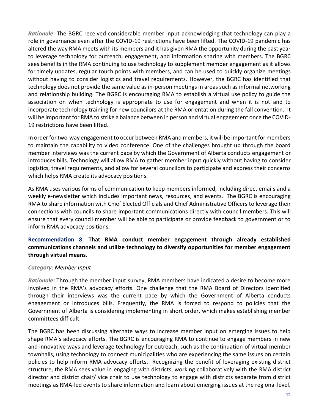*Rationale*: The BGRC received considerable member input acknowledging that technology can play a role in governance even after the COVID-19 restrictions have been lifted. The COVID-19 pandemic has altered the way RMA meets with its members and it has given RMA the opportunity during the past year to leverage technology for outreach, engagement, and information sharing with members. The BGRC sees benefits in the RMA continuing to use technology to supplement member engagement as it allows for timely updates, regular touch points with members, and can be used to quickly organize meetings without having to consider logistics and travel requirements. However, the BGRC has identified that technology does not provide the same value as in-person meetings in areas such as informal networking and relationship building. The BGRC is encouraging RMA to establish a virtual use policy to guide the association on when technology is appropriate to use for engagement and when it is not and to incorporate technology training for new councilors at the RMA orientation during the fall convention. It will be important for RMA to strike a balance between in person and virtual engagement once the COVID-19 restrictions have been lifted.

In order for two-way engagement to occur between RMA and members, it will be important for members to maintain the capability to video conference. One of the challenges brought up through the board member interviews was the current pace by which the Government of Alberta conducts engagement or introduces bills. Technology will allow RMA to gather member input quickly without having to consider logistics, travel requirements, and allow for several councilors to participate and express their concerns which helps RMA create its advocacy positions.

As RMA uses various forms of communication to keep members informed, including direct emails and a weekly e-newsletter which includes important news, resources, and events. The BGRC is encouraging RMA to share information with Chief Elected Officials and Chief Administrative Officers to leverage their connections with councils to share important communications directly with council members. This will ensure that every council member will be able to participate or provide feedback to government or to inform RMA advocacy positions.

# **Recommendation 8**: **That RMA conduct member engagement through already established communications channels and utilize technology to diversify opportunities for member engagement through virtual means.**

# *Category: Member Input*

*Rationale:* Through the member input survey, RMA members have indicated a desire to become more involved in the RMA's advocacy efforts. One challenge that the RMA Board of Directors identified through their interviews was the current pace by which the Government of Alberta conducts engagement or introduces bills. Frequently, the RMA is forced to respond to policies that the Government of Alberta is considering implementing in short order, which makes establishing member committees difficult.

The BGRC has been discussing alternate ways to increase member input on emerging issues to help shape RMA's advocacy efforts. The BGRC is encouraging RMA to continue to engage members in new and innovative ways and leverage technology for outreach, such as the continuation of virtual member townhalls, using technology to connect municipalities who are experiencing the same issues on certain policies to help inform RMA advocacy efforts. Recognizing the benefit of leveraging existing district structure, the RMA sees value in engaging with districts, working collaboratively with the RMA district director and district chair/ vice chair to use technology to engage with districts separate from district meetings as RMA-led events to share information and learn about emerging issues at the regional level.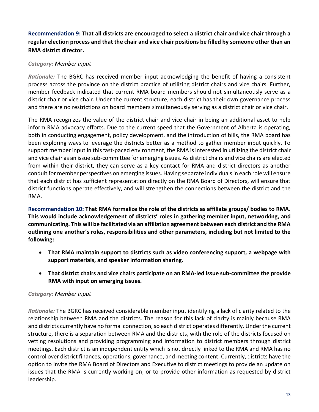**Recommendation 9: That all districts are encouraged to select a district chair and vice chair through a regular election process and that the chair and vice chair positions be filled by someone other than an RMA district director.**

# *Category: Member Input*

*Rationale:* The BGRC has received member input acknowledging the benefit of having a consistent process across the province on the district practice of utilizing district chairs and vice chairs. Further, member feedback indicated that current RMA board members should not simultaneously serve as a district chair or vice chair. Under the current structure, each district has their own governance process and there are no restrictions on board members simultaneously serving as a district chair or vice chair.

The RMA recognizes the value of the district chair and vice chair in being an additional asset to help inform RMA advocacy efforts. Due to the current speed that the Government of Alberta is operating, both in conducting engagement, policy development, and the introduction of bills, the RMA board has been exploring ways to leverage the districts better as a method to gather member input quickly. To support member input in this fast-paced environment, the RMA is interested in utilizing the district chair and vice chair as an issue sub-committee for emerging issues. As district chairs and vice chairs are elected from within their district, they can serve as a key contact for RMA and district directors as another conduit for member perspectives on emerging issues. Having separate individuals in each role will ensure that each district has sufficient representation directly on the RMA Board of Directors, will ensure that district functions operate effectively, and will strengthen the connections between the district and the RMA.

**Recommendation 10: That RMA formalize the role of the districts as affiliate groups/ bodies to RMA. This would include acknowledgement of districts' roles in gathering member input, networking, and communicating. This will be facilitated via an affiliation agreement between each district and the RMA outlining one another's roles, responsibilities and other parameters, including but not limited to the following:**

- **That RMA maintain support to districts such as video conferencing support, a webpage with support materials, and speaker information sharing.**
- **That district chairs and vice chairs participate on an RMA-led issue sub-committee the provide RMA with input on emerging issues.**

# *Category: Member Input*

*Rationale:* The BGRC has received considerable member input identifying a lack of clarity related to the relationship between RMA and the districts. The reason for this lack of clarity is mainly because RMA and districts currently have no formal connection, so each district operates differently. Under the current structure, there is a separation between RMA and the districts, with the role of the districts focused on vetting resolutions and providing programming and information to district members through district meetings. Each district is an independent entity which is not directly linked to the RMA and RMA has no control over district finances, operations, governance, and meeting content. Currently, districts have the option to invite the RMA Board of Directors and Executive to district meetings to provide an update on issues that the RMA is currently working on, or to provide other information as requested by district leadership.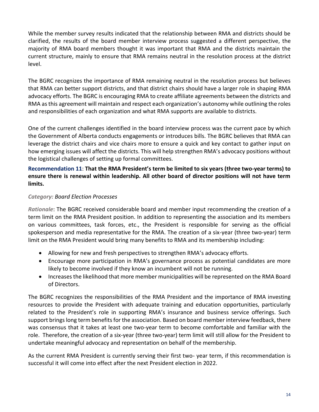While the member survey results indicated that the relationship between RMA and districts should be clarified, the results of the board member interview process suggested a different perspective, the majority of RMA board members thought it was important that RMA and the districts maintain the current structure, mainly to ensure that RMA remains neutral in the resolution process at the district level.

The BGRC recognizes the importance of RMA remaining neutral in the resolution process but believes that RMA can better support districts, and that district chairs should have a larger role in shaping RMA advocacy efforts. The BGRC is encouraging RMA to create affiliate agreements between the districts and RMA as this agreement will maintain and respect each organization's autonomy while outlining the roles and responsibilities of each organization and what RMA supports are available to districts.

One of the current challenges identified in the board interview process was the current pace by which the Government of Alberta conducts engagements or introduces bills. The BGRC believes that RMA can leverage the district chairs and vice chairs more to ensure a quick and key contact to gather input on how emerging issues will affect the districts. This will help strengthen RMA's advocacy positions without the logistical challenges of setting up formal committees.

# **Recommendation 11**: **That the RMA President's term be limited to six years (three two-year terms) to ensure there is renewal within leadership. All other board of director positions will not have term limits.**

# *Category: Board Election Processes*

*Rationale*: The BGRC received considerable board and member input recommending the creation of a term limit on the RMA President position. In addition to representing the association and its members on various committees, task forces, etc., the President is responsible for serving as the official spokesperson and media representative for the RMA. The creation of a six-year (three two-year) term limit on the RMA President would bring many benefits to RMA and its membership including:

- Allowing for new and fresh perspectives to strengthen RMA's advocacy efforts.
- Encourage more participation in RMA's governance process as potential candidates are more likely to become involved if they know an incumbent will not be running.
- Increases the likelihood that more member municipalities will be represented on the RMA Board of Directors.

The BGRC recognizes the responsibilities of the RMA President and the importance of RMA investing resources to provide the President with adequate training and education opportunities, particularly related to the President's role in supporting RMA's insurance and business service offerings. Such support brings long term benefits for the association. Based on board member interview feedback, there was consensus that it takes at least one two-year term to become comfortable and familiar with the role. Therefore, the creation of a six-year (three two-year) term limit will still allow for the President to undertake meaningful advocacy and representation on behalf of the membership.

As the current RMA President is currently serving their first two- year term, if this recommendation is successful it will come into effect after the next President election in 2022.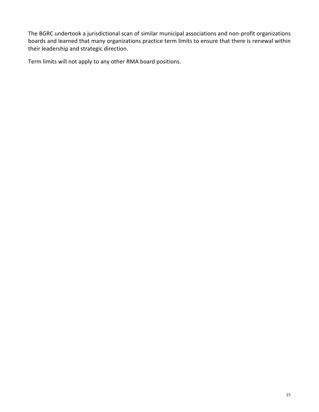The BGRC undertook a jurisdictional scan of similar municipal associations and non-profit organizations boards and learned that many organizations practice term limits to ensure that there is renewal within their leadership and strategic direction.

Term limits will not apply to any other RMA board positions.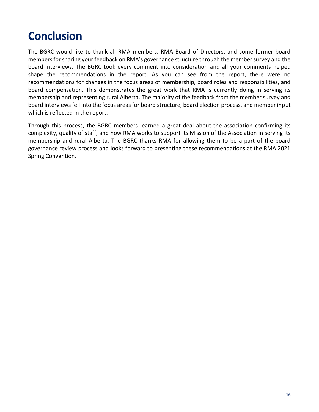# **Conclusion**

The BGRC would like to thank all RMA members, RMA Board of Directors, and some former board members for sharing your feedback on RMA's governance structure through the member survey and the board interviews. The BGRC took every comment into consideration and all your comments helped shape the recommendations in the report. As you can see from the report, there were no recommendations for changes in the focus areas of membership, board roles and responsibilities, and board compensation. This demonstrates the great work that RMA is currently doing in serving its membership and representing rural Alberta. The majority of the feedback from the member survey and board interviews fell into the focus areas for board structure, board election process, and member input which is reflected in the report.

Through this process, the BGRC members learned a great deal about the association confirming its complexity, quality of staff, and how RMA works to support its Mission of the Association in serving its membership and rural Alberta. The BGRC thanks RMA for allowing them to be a part of the board governance review process and looks forward to presenting these recommendations at the RMA 2021 Spring Convention.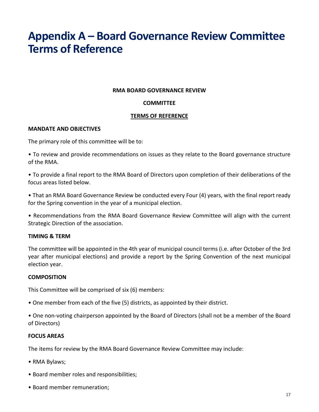# **Appendix A – Board Governance Review Committee Terms of Reference**

#### **RMA BOARD GOVERNANCE REVIEW**

#### **COMMITTEE**

#### **TERMS OF REFERENCE**

#### **MANDATE AND OBJECTIVES**

The primary role of this committee will be to:

• To review and provide recommendations on issues as they relate to the Board governance structure of the RMA.

• To provide a final report to the RMA Board of Directors upon completion of their deliberations of the focus areas listed below.

• That an RMA Board Governance Review be conducted every Four (4) years, with the final report ready for the Spring convention in the year of a municipal election.

• Recommendations from the RMA Board Governance Review Committee will align with the current Strategic Direction of the association.

#### **TIMING & TERM**

The committee will be appointed in the 4th year of municipal council terms (i.e. after October of the 3rd year after municipal elections) and provide a report by the Spring Convention of the next municipal election year.

#### **COMPOSITION**

This Committee will be comprised of six (6) members:

• One member from each of the five (5) districts, as appointed by their district.

• One non-voting chairperson appointed by the Board of Directors (shall not be a member of the Board of Directors)

#### **FOCUS AREAS**

The items for review by the RMA Board Governance Review Committee may include:

- RMA Bylaws;
- Board member roles and responsibilities;
- Board member remuneration;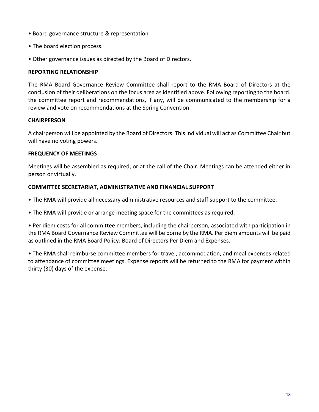- Board governance structure & representation
- The board election process.
- Other governance issues as directed by the Board of Directors.

#### **REPORTING RELATIONSHIP**

The RMA Board Governance Review Committee shall report to the RMA Board of Directors at the conclusion of their deliberations on the focus area as identified above. Following reporting to the board. the committee report and recommendations, if any, will be communicated to the membership for a review and vote on recommendations at the Spring Convention.

# **CHAIRPERSON**

A chairperson will be appointed by the Board of Directors. This individual will act as Committee Chair but will have no voting powers.

# **FREQUENCY OF MEETINGS**

Meetings will be assembled as required, or at the call of the Chair. Meetings can be attended either in person or virtually.

# **COMMITTEE SECRETARIAT, ADMINISTRATIVE AND FINANCIAL SUPPORT**

- The RMA will provide all necessary administrative resources and staff support to the committee.
- The RMA will provide or arrange meeting space for the committees as required.

• Per diem costs for all committee members, including the chairperson, associated with participation in the RMA Board Governance Review Committee will be borne by the RMA. Per diem amounts will be paid as outlined in the RMA Board Policy: Board of Directors Per Diem and Expenses.

• The RMA shall reimburse committee members for travel, accommodation, and meal expenses related to attendance of committee meetings. Expense reports will be returned to the RMA for payment within thirty (30) days of the expense.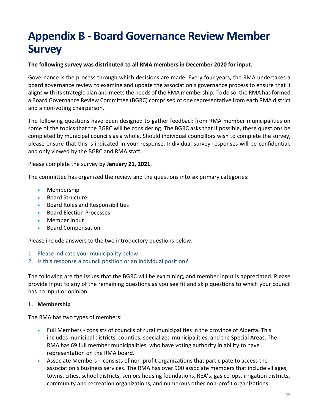# **Appendix B - Board Governance Review Member Survey**

# **The following survey was distributed to all RMA members in December 2020 for input.**

Governance is the process through which decisions are made. Every four years, the RMA undertakes a board governance review to examine and update the association's governance process to ensure that it aligns with its strategic plan and meets the needs of the RMA membership. To do so, the RMA has formed a Board Governance Review Committee (BGRC) comprised of one representative from each RMA district and a non-voting chairperson.

The following questions have been designed to gather feedback from RMA member municipalities on some of the topics that the BGRC will be considering. The BGRC asks that if possible, these questions be completed by municipal councils as a whole. Should individual councillors wish to complete the survey, please ensure that this is indicated in your response. Individual survey responses will be confidential, and only viewed by the BGRC and RMA staff.

Please complete the survey by **January 21, 2021**.

The committee has organized the review and the questions into six primary categories:

- Membership
- Board Structure
- Board Roles and Responsibilities
- Board Election Processes
- Member Input
- Board Compensation

Please include answers to the two introductory questions below.

- 1. Please indicate your municipality below.
- 2. Is this response a council position or an individual position?

The following are the issues that the BGRC will be examining, and member input is appreciated. Please provide input to any of the remaining questions as you see fit and skip questions to which your council has no input or opinion.

#### **1. Membership**

The RMA has two types of members:

- Full Members consists of councils of rural municipalities in the province of Alberta. This includes municipal districts, counties, specialized municipalities, and the Special Areas. The RMA has 69 full member municipalities, who have voting authority in ability to have representation on the RMA board.
- Associate Members consists of non-profit organizations that participate to access the association's business services. The RMA has over 900 associate members that include villages, towns, cities, school districts, seniors housing foundations, REA's, gas co-ops, irrigation districts, community and recreation organizations, and numerous other non-profit organizations.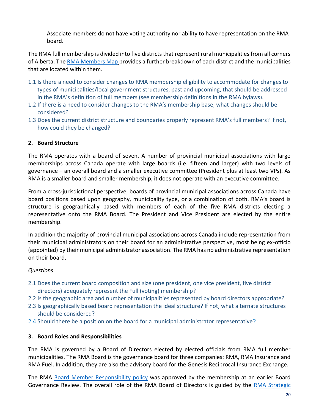Associate members do not have voting authority nor ability to have representation on the RMA board.

The RMA full membership is divided into five districts that represent rural municipalities from all corners of Alberta. Th[e RMA Members Map](https://rmalberta.com/about/members-map/) provides a further breakdown of each district and the municipalities that are located within them.

- 1.1 Is there a need to consider changes to RMA membership eligibility to accommodate for changes to types of municipalities/local government structures, past and upcoming, that should be addressed in the RMA's definition of full members (see membership definitions in the [RMA bylaws\)](https://rmalberta.com/wp-content/uploads/2019/02/rma-bylaws-2018-final.pdf).
- 1.2 If there is a need to consider changes to the RMA's membership base, what changes should be considered?
- 1.3 Does the current district structure and boundaries properly represent RMA's full members? If not, how could they be changed?

# **2. Board Structure**

The RMA operates with a board of seven. A number of provincial municipal associations with large memberships across Canada operate with large boards (i.e. fifteen and larger) with two levels of governance – an overall board and a smaller executive committee (President plus at least two VPs). As RMA is a smaller board and smaller membership, it does not operate with an executive committee.

From a cross-jurisdictional perspective, boards of provincial municipal associations across Canada have board positions based upon geography, municipality type, or a combination of both. RMA's board is structure is geographically based with members of each of the five RMA districts electing a representative onto the RMA Board. The President and Vice President are elected by the entire membership.

In addition the majority of provincial municipal associations across Canada include representation from their municipal administrators on their board for an administrative perspective, most being ex-officio (appointed) by their municipal administrator association. The RMA has no administrative representation on their board.

# *Questions*

- 2.1 Does the current board composition and size (one president, one vice president, five district directors) adequately represent the Full (voting) membership?
- 2.2 Is the geographic area and number of municipalities represented by board directors appropriate?
- 2.3 Is geographically based board representation the ideal structure? If not, what alternate structures should be considered?
- 2.4 Should there be a position on the board for a municipal administrator representative?

# **3. Board Roles and Responsibilities**

The RMA is governed by a Board of Directors elected by elected officials from RMA full member municipalities. The RMA Board is the governance board for three companies: RMA, RMA Insurance and RMA Fuel. In addition, they are also the advisory board for the Genesis Reciprocal Insurance Exchange.

The RMA [Board Member Responsibility policy](https://rmalberta.com/wp-content/uploads/2020/12/GOV-02-Board-Member-Responsibilities-Policy.pdf) was approved by the membership at an earlier Board Governance Review. The overall role of the RMA Board of Directors is guided by the [RMA Strategic](https://rmalberta.com/wp-content/uploads/2020/06/Strategic-Plan-2019-2023.pdf)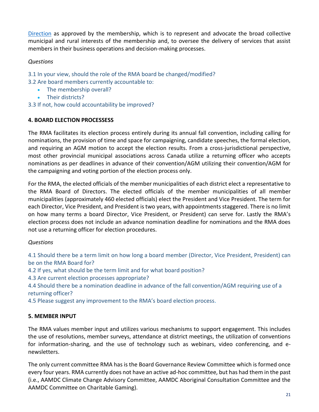[Direction](https://rmalberta.com/wp-content/uploads/2020/06/Strategic-Plan-2019-2023.pdf) as approved by the membership, which is to represent and advocate the broad collective municipal and rural interests of the membership and, to oversee the delivery of services that assist members in their business operations and decision-making processes.

# *Questions*

- 3.1 In your view, should the role of the RMA board be changed/modified?
- 3.2 Are board members currently accountable to:
	- The membership overall?
	- Their districts?
- 3.3 If not, how could accountability be improved?

# **4. BOARD ELECTION PROCESSESS**

The RMA facilitates its election process entirely during its annual fall convention, including calling for nominations, the provision of time and space for campaigning, candidate speeches, the formal election, and requiring an AGM motion to accept the election results. From a cross-jurisdictional perspective, most other provincial municipal associations across Canada utilize a returning officer who accepts nominations as per deadlines in advance of their convention/AGM utilizing their convention/AGM for the campaigning and voting portion of the election process only.

For the RMA, the elected officials of the member municipalities of each district elect a representative to the RMA Board of Directors. The elected officials of the member municipalities of all member municipalities (approximately 460 elected officials) elect the President and Vice President. The term for each Director, Vice President, and President is two years, with appointments staggered. There is no limit on how many terms a board Director, Vice President, or President) can serve for. Lastly the RMA's election process does not include an advance nomination deadline for nominations and the RMA does not use a returning officer for election procedures.

#### *Questions*

4.1 Should there be a term limit on how long a board member (Director, Vice President, President) can be on the RMA Board for?

4.2 If yes, what should be the term limit and for what board position?

4.3 Are current election processes appropriate?

4.4 Should there be a nomination deadline in advance of the fall convention/AGM requiring use of a returning officer?

4.5 Please suggest any improvement to the RMA's board election process.

# **5. MEMBER INPUT**

The RMA values member input and utilizes various mechanisms to support engagement. This includes the use of resolutions, member surveys, attendance at district meetings, the utilization of conventions for information-sharing, and the use of technology such as webinars, video conferencing, and enewsletters.

The only current committee RMA has is the Board Governance Review Committee which is formed once every four years. RMA currently does not have an active ad-hoc committee, but has had them in the past (i.e., AAMDC Climate Change Advisory Committee, AAMDC Aboriginal Consultation Committee and the AAMDC Committee on Charitable Gaming).